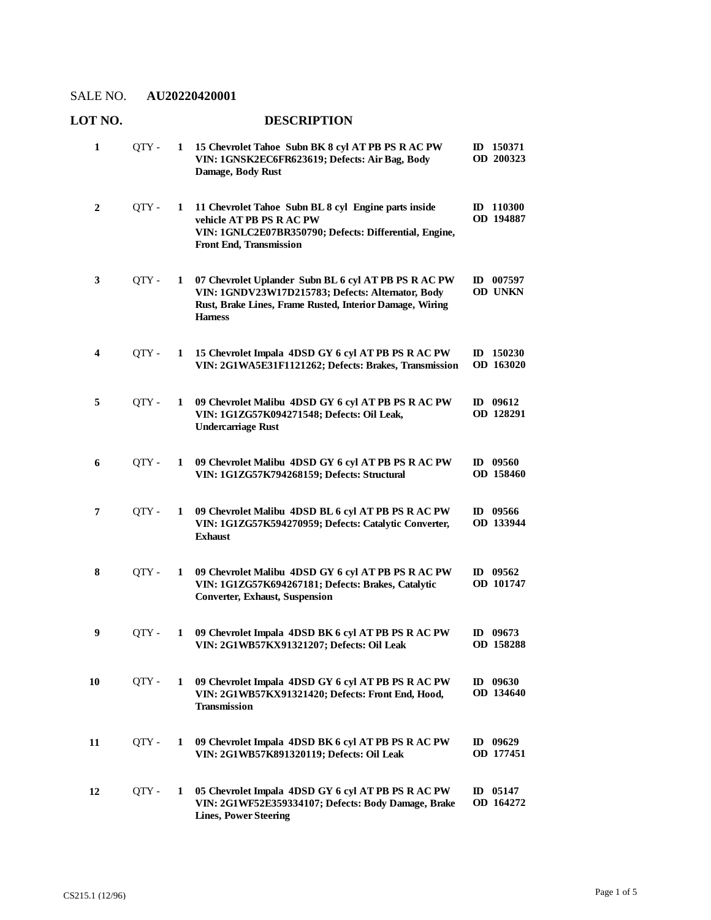**LOT NO. DESCRIPTION**

| $\mathbf{1}$ | QTY - | 1            | 15 Chevrolet Tahoe Subn BK 8 cyl AT PB PS R AC PW<br>VIN: 1GNSK2EC6FR623619; Defects: Air Bag, Body<br>Damage, Body Rust                                                                | ID 150371<br>OD 200323  |
|--------------|-------|--------------|-----------------------------------------------------------------------------------------------------------------------------------------------------------------------------------------|-------------------------|
| $\mathbf{2}$ | OTY - | $\mathbf{1}$ | 11 Chevrolet Tahoe Subn BL 8 cyl Engine parts inside<br>vehicle AT PB PS R AC PW<br>VIN: 1GNLC2E07BR350790; Defects: Differential, Engine,<br>Front End, Transmission                   | ID 110300<br>OD 194887  |
| 3            | OTY - | 1            | 07 Chevrolet Uplander Subn BL 6 cyl AT PB PS R AC PW<br>VIN: 1GNDV23W17D215783; Defects: Alternator, Body<br>Rust, Brake Lines, Frame Rusted, Interior Damage, Wiring<br><b>Harness</b> | ID $007597$<br>OD UNKN  |
| 4            | QTY - | $\mathbf{1}$ | 15 Chevrolet Impala 4DSD GY 6 cyl AT PB PS R AC PW<br>VIN: 2G1WA5E31F1121262; Defects: Brakes, Transmission                                                                             | ID 150230<br>OD 163020  |
| 5            | QTY - | 1            | 09 Chevrolet Malibu 4DSD GY 6 cyl AT PB PS R AC PW<br>VIN: 1G1ZG57K094271548; Defects: Oil Leak,<br><b>Undercarriage Rust</b>                                                           | ID 09612<br>OD 128291   |
| 6            | QTY-  | 1            | 09 Chevrolet Malibu 4DSD GY 6 cyl AT PB PS R AC PW<br>VIN: 1G1ZG57K794268159; Defects: Structural                                                                                       | ID $09560$<br>OD 158460 |
| 7            | OTY - | 1            | 09 Chevrolet Malibu 4DSD BL 6 cyl AT PB PS R AC PW<br>VIN: 1G1ZG57K594270959; Defects: Catalytic Converter,<br><b>Exhaust</b>                                                           | ID 09566<br>OD 133944   |
| 8            | QTY - | 1            | 09 Chevrolet Malibu 4DSD GY 6 cyl AT PB PS R AC PW<br>VIN: 1G1ZG57K694267181; Defects: Brakes, Catalytic<br><b>Converter, Exhaust, Suspension</b>                                       | $ID$ 09562<br>OD 101747 |
| 9            | QTY - | 1            | 09 Chevrolet Impala 4DSD BK 6 cyl AT PB PS R AC PW<br>VIN: 2G1WB57KX91321207; Defects: Oil Leak                                                                                         | ID $09673$<br>OD 158288 |
| 10           | QTY - | 1            | 09 Chevrolet Impala 4DSD GY 6 cyl AT PB PS R AC PW<br>VIN: 2G1WB57KX91321420; Defects: Front End, Hood,<br><b>Transmission</b>                                                          | ID $09630$<br>OD 134640 |
| 11           | QTY - | 1            | 09 Chevrolet Impala 4DSD BK 6 cyl AT PB PS R AC PW<br>VIN: 2G1WB57K891320119; Defects: Oil Leak                                                                                         | $ID$ 09629<br>OD 177451 |
| 12           | QTY - | 1            | 05 Chevrolet Impala 4DSD GY 6 cyl AT PB PS R AC PW<br>VIN: 2G1WF52E359334107; Defects: Body Damage, Brake<br><b>Lines, Power Steering</b>                                               | $ID$ 05147<br>OD 164272 |

## Page 1 of 5 CS215.1 (12/96)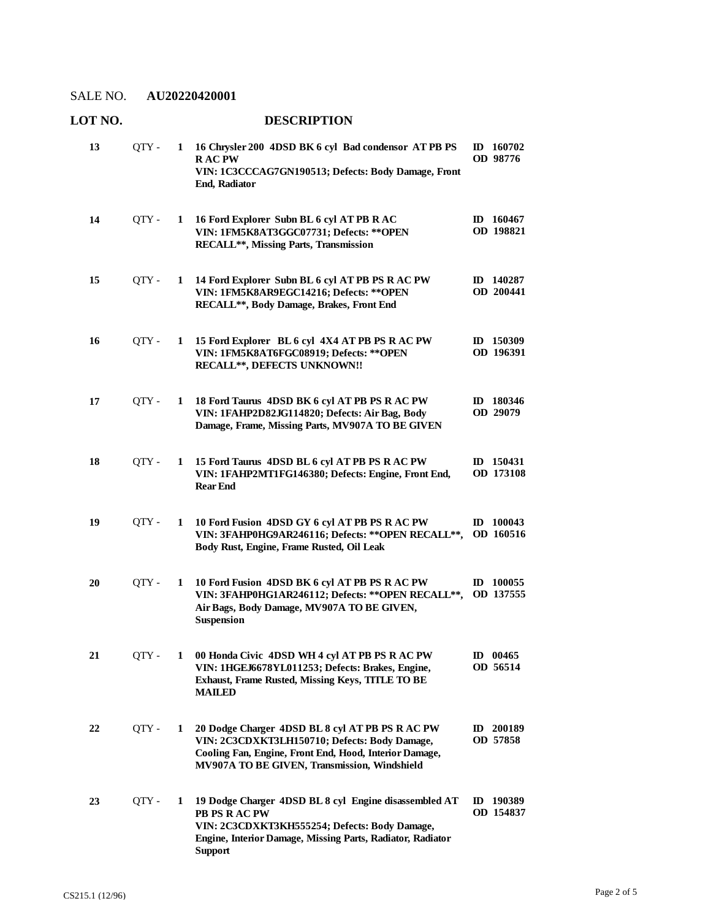| LOT NO.<br><b>DESCRIPTION</b> |       |   |                                                                                                                                                                                                            |  |                              |  |
|-------------------------------|-------|---|------------------------------------------------------------------------------------------------------------------------------------------------------------------------------------------------------------|--|------------------------------|--|
| 13                            | QTY - | 1 | 16 Chrysler 200 4DSD BK 6 cyl Bad condensor ATPB PS<br><b>RACPW</b><br>VIN: 1C3CCCAG7GN190513; Defects: Body Damage, Front<br><b>End, Radiator</b>                                                         |  | ID $160702$<br>OD 98776      |  |
| 14                            | QTY - | 1 | 16 Ford Explorer Subn BL 6 cyl AT PB R AC<br>VIN: 1FM5K8AT3GGC07731; Defects: ** OPEN<br>RECALL**, Missing Parts, Transmission                                                                             |  | ID 160467<br>OD 198821       |  |
| 15                            | QTY - | 1 | 14 Ford Explorer Subn BL 6 cyl AT PB PS R AC PW<br>VIN: 1FM5K8AR9EGC14216; Defects: ** OPEN<br>RECALL**, Body Damage, Brakes, Front End                                                                    |  | ID 140287<br>OD 200441       |  |
| 16                            | QTY - | 1 | 15 Ford Explorer BL 6 cyl 4X4 AT PB PS R AC PW<br>VIN: 1FM5K8AT6FGC08919; Defects: ** OPEN<br>RECALL**, DEFECTS UNKNOWN!!                                                                                  |  | $ID$ 150309<br>OD 196391     |  |
| 17                            | QTY - | 1 | 18 Ford Taurus 4DSD BK 6 cyl AT PB PS R AC PW<br>VIN: 1FAHP2D82JG114820; Defects: Air Bag, Body<br>Damage, Frame, Missing Parts, MV907A TO BE GIVEN                                                        |  | ID 180346<br><b>OD 29079</b> |  |
| 18                            | QTY-  | 1 | 15 Ford Taurus 4DSD BL 6 cyl AT PB PS R AC PW<br>VIN: 1FAHP2MT1FG146380; Defects: Engine, Front End,<br><b>Rear End</b>                                                                                    |  | ID 150431<br>OD 173108       |  |
| 19                            | QTY - | 1 | 10 Ford Fusion 4DSD GY 6 cyl AT PB PS R AC PW<br>VIN: 3FAHP0HG9AR246116; Defects: ** OPEN RECALL **,<br>Body Rust, Engine, Frame Rusted, Oil Leak                                                          |  | ID $100043$<br>OD 160516     |  |
| 20                            | OTY - | 1 | 10 Ford Fusion 4DSD BK 6 cyl AT PB PS R AC PW<br>VIN: 3FAHP0HG1AR246112; Defects: ** OPEN RECALL **,<br>Air Bags, Body Damage, MV907A TO BE GIVEN,<br><b>Suspension</b>                                    |  | $ID$ 100055<br>OD 137555     |  |
| 21                            | QTY - | 1 | 00 Honda Civic 4DSD WH 4 cyl AT PB PS R AC PW<br>VIN: 1HGEJ6678YL011253; Defects: Brakes, Engine,<br>Exhaust, Frame Rusted, Missing Keys, TITLE TO BE<br><b>MAILED</b>                                     |  | $ID$ 00465<br>OD 56514       |  |
| 22                            | QTY - | 1 | 20 Dodge Charger 4DSD BL 8 cyl AT PB PS R AC PW<br>VIN: 2C3CDXKT3LH150710; Defects: Body Damage,<br>Cooling Fan, Engine, Front End, Hood, Interior Damage,<br>MV907A TO BE GIVEN, Transmission, Windshield |  | ID 200189<br>OD 57858        |  |
| 23                            | QTY - | 1 | 19 Dodge Charger 4DSD BL 8 cyl Engine disassembled AT<br><b>PB PS R AC PW</b><br>VIN: 2C3CDXKT3KH555254; Defects: Body Damage,<br>Engine, Interior Damage, Missing Parts, Radiator, Radiator<br>Support    |  | ID 190389<br>OD 154837       |  |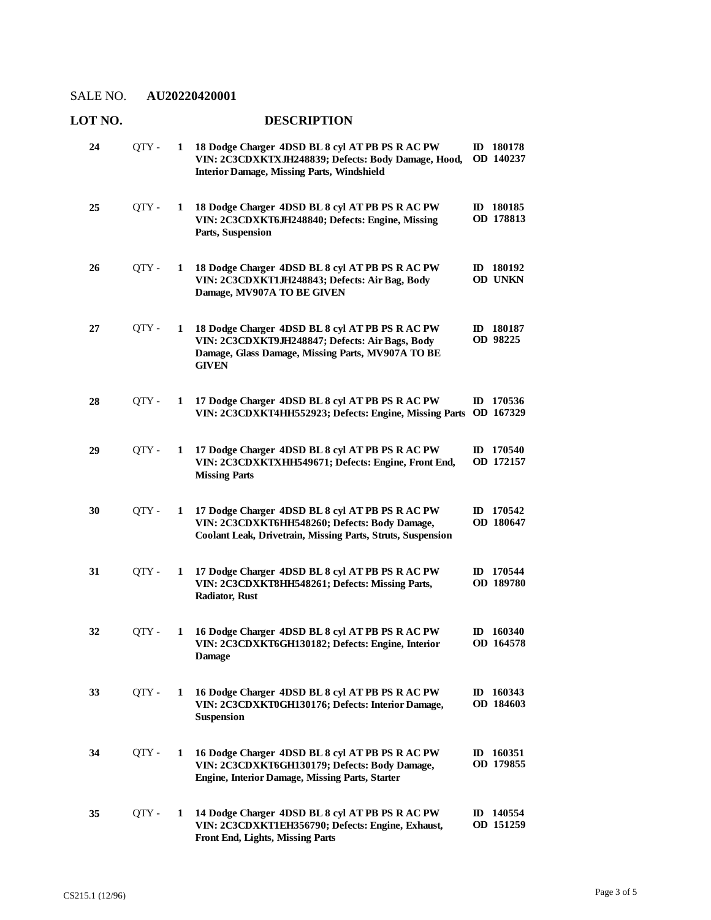#### **LOT NO. DESCRIPTION 18 Dodge Charger 4DSD BL 8 cyl AT PB PS R AC PW**  QTY - **1 ID 180178 VIN: 2C3CDXKTXJH248839; Defects: Body Damage, Hood, Interior Damage, Missing Parts, Windshield OD 140237 24 18 Dodge Charger 4DSD BL 8 cyl AT PB PS R AC PW**  QTY - **1 ID 180185 VIN: 2C3CDXKT6JH248840; Defects: Engine, Missing Parts, Suspension OD 178813 25 18 Dodge Charger 4DSD BL 8 cyl AT PB PS R AC PW**  QTY - **1 ID 180192 VIN: 2C3CDXKT1JH248843; Defects: Air Bag, Body Damage, MV907A TO BE GIVEN OD UNKN 26 18 Dodge Charger 4DSD BL 8 cyl AT PB PS R AC PW**  QTY - **1 ID 180187 VIN: 2C3CDXKT9JH248847; Defects: Air Bags, Body Damage, Glass Damage, Missing Parts, MV907A TO BE GIVEN OD 98225 27 17 Dodge Charger 4DSD BL 8 cyl AT PB PS R AC PW**  QTY - **1 ID 170536 VIN: 2C3CDXKT4HH552923; Defects: Engine, Missing Parts OD 167329 28 17 Dodge Charger 4DSD BL 8 cyl AT PB PS R AC PW**  QTY - **1 ID 170540 VIN: 2C3CDXKTXHH549671; Defects: Engine, Front End, Missing Parts OD 172157 29 17 Dodge Charger 4DSD BL 8 cyl AT PB PS R AC PW**  QTY - **1 ID 170542 VIN: 2C3CDXKT6HH548260; Defects: Body Damage, Coolant Leak, Drivetrain, Missing Parts, Struts, Suspension OD 180647 30 17 Dodge Charger 4DSD BL 8 cyl AT PB PS R AC PW**  QTY - **1 ID 170544 VIN: 2C3CDXKT8HH548261; Defects: Missing Parts, Radiator, Rust OD 189780 31 16 Dodge Charger 4DSD BL 8 cyl AT PB PS R AC PW**  QTY - **1 ID 160340 VIN: 2C3CDXKT6GH130182; Defects: Engine, Interior Damage OD 164578 32 16 Dodge Charger 4DSD BL 8 cyl AT PB PS R AC PW**  QTY - **1 ID 160343 VIN: 2C3CDXKT0GH130176; Defects: Interior Damage, Suspension OD 184603 33 16 Dodge Charger 4DSD BL 8 cyl AT PB PS R AC PW**  QTY - **1 ID 160351 VIN: 2C3CDXKT6GH130179; Defects: Body Damage, Engine, Interior Damage, Missing Parts, Starter OD 179855 34 14 Dodge Charger 4DSD BL 8 cyl AT PB PS R AC PW**  QTY - **1 ID 140554 VIN: 2C3CDXKT1EH356790; Defects: Engine, Exhaust, Front End, Lights, Missing Parts OD 151259 35**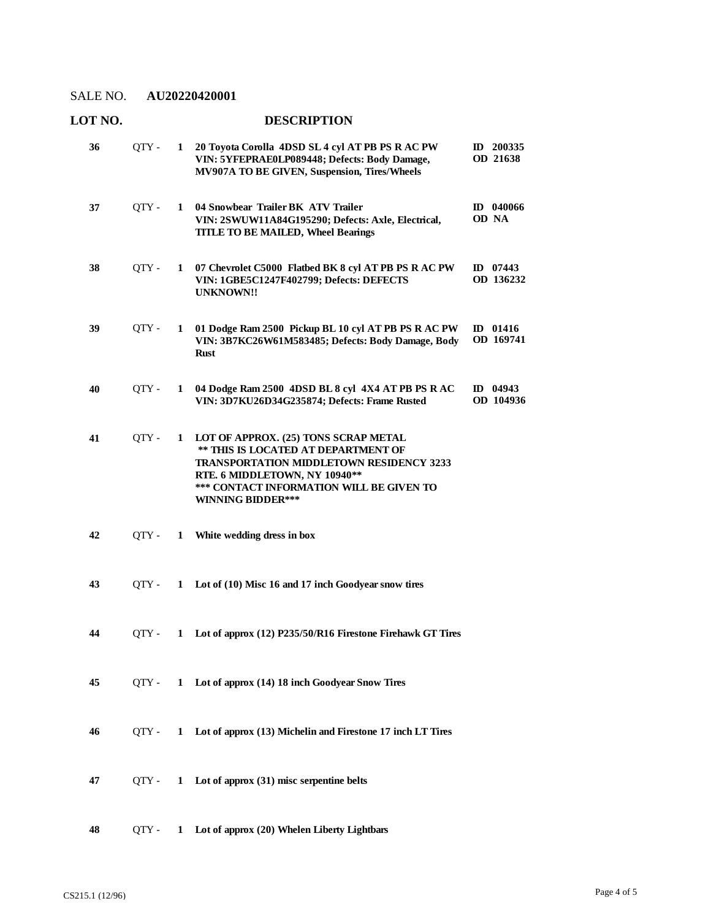# **LOT NO. DESCRIPTION 20 Toyota Corolla 4DSD SL 4 cyl AT PB PS R AC PW**  QTY - **1 ID 200335 VIN: 5YFEPRAE0LP089448; Defects: Body Damage, MV907A TO BE GIVEN, Suspension, Tires/Wheels OD 21638 36 04 Snowbear Trailer BK ATV Trailer**  QTY - **1 ID 040066 VIN: 2SWUW11A84G195290; Defects: Axle, Electrical, TITLE TO BE MAILED, Wheel Bearings OD NA 37 07 Chevrolet C5000 Flatbed BK 8 cyl AT PB PS R AC PW**  QTY - **1 ID 07443 VIN: 1GBE5C1247F402799; Defects: DEFECTS UNKNOWN!! OD 136232 38 01 Dodge Ram 2500 Pickup BL 10 cyl AT PB PS R AC PW**  QTY - **1 ID 01416 VIN: 3B7KC26W61M583485; Defects: Body Damage, Body Rust OD 169741 39 04 Dodge Ram 2500 4DSD BL 8 cyl 4X4 AT PB PS R AC**  QTY - **1 ID 04943 VIN: 3D7KU26D34G235874; Defects: Frame Rusted OD 104936 40 LOT OF APPROX. (25) TONS SCRAP METAL \*\* THIS IS LOCATED AT DEPARTMENT OF TRANSPORTATION MIDDLETOWN RESIDENCY 3233 RTE. 6 MIDDLETOWN, NY 10940\*\* \*\*\* CONTACT INFORMATION WILL BE GIVEN TO WINNING BIDDER\*\*\* 41** QTY - **1 42** QTY - **1 White wedding dress in box 43** QTY - **1 Lot of (10) Misc 16 and 17 inch Goodyear snow tires 44** QTY - **1 Lot of approx (12) P235/50/R16 Firestone Firehawk GT Tires 45** QTY - **1 Lot of approx (14) 18 inch Goodyear Snow Tires 46** QTY - **1 Lot of approx (13) Michelin and Firestone 17 inch LT Tires 47** QTY - **1 Lot of approx (31) misc serpentine belts**

**48** QTY - **1 Lot of approx (20) Whelen Liberty Lightbars**